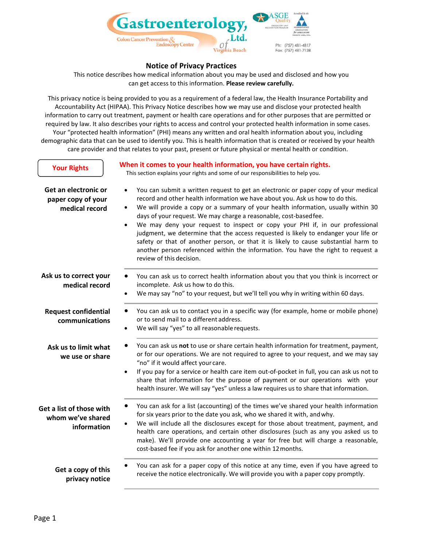

# **Notice of Privacy Practices**

This notice describes how medical information about you may be used and disclosed and how you can get access to this information. **Please review carefully.**

This privacy notice is being provided to you as a requirement of a federal law, the Health Insurance Portability and Accountability Act (HIPAA). This Privacy Notice describes how we may use and disclose your protected health information to carry out treatment, payment or health care operations and for other purposes that are permitted or required by law. It also describes your rights to access and control your protected health information in some cases. Your "protected health information" (PHI) means any written and oral health information about you, including demographic data that can be used to identify you. This is health information that is created or received by your health care provider and that relates to your past, present or future physical or mental health or condition.

| <b>Your Rights</b>                                           | When it comes to your health information, you have certain rights.<br>This section explains your rights and some of our responsibilities to help you.                                                                                                                                                                                                                                                                                                                                                                                                                                                                                                                                                                                                |
|--------------------------------------------------------------|------------------------------------------------------------------------------------------------------------------------------------------------------------------------------------------------------------------------------------------------------------------------------------------------------------------------------------------------------------------------------------------------------------------------------------------------------------------------------------------------------------------------------------------------------------------------------------------------------------------------------------------------------------------------------------------------------------------------------------------------------|
| Get an electronic or<br>paper copy of your<br>medical record | You can submit a written request to get an electronic or paper copy of your medical<br>$\bullet$<br>record and other health information we have about you. Ask us how to do this.<br>We will provide a copy or a summary of your health information, usually within 30<br>$\bullet$<br>days of your request. We may charge a reasonable, cost-based fee.<br>We may deny your request to inspect or copy your PHI if, in our professional<br>$\bullet$<br>judgment, we determine that the access requested is likely to endanger your life or<br>safety or that of another person, or that it is likely to cause substantial harm to<br>another person referenced within the information. You have the right to request a<br>review of this decision. |
| Ask us to correct your<br>medical record                     | You can ask us to correct health information about you that you think is incorrect or<br>incomplete. Ask us how to do this.<br>We may say "no" to your request, but we'll tell you why in writing within 60 days.<br>$\bullet$                                                                                                                                                                                                                                                                                                                                                                                                                                                                                                                       |
| <b>Request confidential</b><br>communications                | You can ask us to contact you in a specific way (for example, home or mobile phone)<br>or to send mail to a different address.<br>We will say "yes" to all reasonable requests.<br>$\bullet$                                                                                                                                                                                                                                                                                                                                                                                                                                                                                                                                                         |
| Ask us to limit what<br>we use or share                      | You can ask us not to use or share certain health information for treatment, payment,<br>or for our operations. We are not required to agree to your request, and we may say<br>"no" if it would affect your care.<br>If you pay for a service or health care item out-of-pocket in full, you can ask us not to<br>$\bullet$<br>share that information for the purpose of payment or our operations with your<br>health insurer. We will say "yes" unless a law requires us to share that information.                                                                                                                                                                                                                                               |
| Get a list of those with<br>whom we've shared<br>information | You can ask for a list (accounting) of the times we've shared your health information<br>for six years prior to the date you ask, who we shared it with, and why.<br>We will include all the disclosures except for those about treatment, payment, and<br>health care operations, and certain other disclosures (such as any you asked us to<br>make). We'll provide one accounting a year for free but will charge a reasonable,<br>cost-based fee if you ask for another one within 12 months.                                                                                                                                                                                                                                                    |
| Get a copy of this<br>privacy notice                         | You can ask for a paper copy of this notice at any time, even if you have agreed to<br>receive the notice electronically. We will provide you with a paper copy promptly.                                                                                                                                                                                                                                                                                                                                                                                                                                                                                                                                                                            |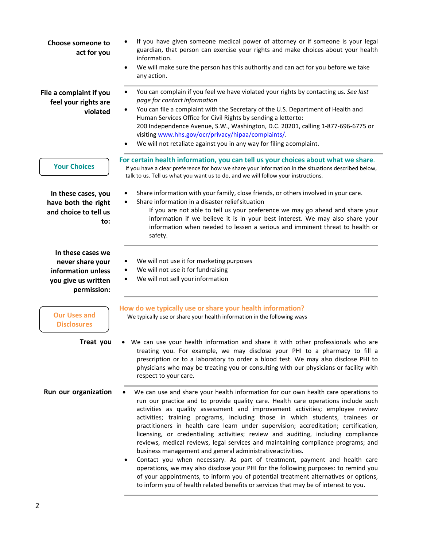| Choose someone to<br>act for you                                                                  | If you have given someone medical power of attorney or if someone is your legal<br>guardian, that person can exercise your rights and make choices about your health<br>information.<br>We will make sure the person has this authority and can act for you before we take<br>$\bullet$<br>any action.                                                                                                                                                                                                                                                                                                                                                                                                                                                                                                                                                                                                                                                                                                                               |
|---------------------------------------------------------------------------------------------------|--------------------------------------------------------------------------------------------------------------------------------------------------------------------------------------------------------------------------------------------------------------------------------------------------------------------------------------------------------------------------------------------------------------------------------------------------------------------------------------------------------------------------------------------------------------------------------------------------------------------------------------------------------------------------------------------------------------------------------------------------------------------------------------------------------------------------------------------------------------------------------------------------------------------------------------------------------------------------------------------------------------------------------------|
| File a complaint if you<br>feel your rights are<br>violated                                       | You can complain if you feel we have violated your rights by contacting us. See last<br>page for contact information<br>You can file a complaint with the Secretary of the U.S. Department of Health and<br>$\bullet$<br>Human Services Office for Civil Rights by sending a letterto:<br>200 Independence Avenue, S.W., Washington, D.C. 20201, calling 1-877-696-6775 or<br>visiting www.hhs.gov/ocr/privacy/hipaa/complaints/.<br>We will not retaliate against you in any way for filing acomplaint.                                                                                                                                                                                                                                                                                                                                                                                                                                                                                                                             |
| <b>Your Choices</b>                                                                               | For certain health information, you can tell us your choices about what we share.<br>If you have a clear preference for how we share your information in the situations described below,<br>talk to us. Tell us what you want us to do, and we will follow your instructions.                                                                                                                                                                                                                                                                                                                                                                                                                                                                                                                                                                                                                                                                                                                                                        |
| In these cases, you<br>have both the right<br>and choice to tell us<br>to:                        | Share information with your family, close friends, or others involved in your care.<br>Share information in a disaster relief situation<br>If you are not able to tell us your preference we may go ahead and share your<br>information if we believe it is in your best interest. We may also share your<br>information when needed to lessen a serious and imminent threat to health or<br>safety.                                                                                                                                                                                                                                                                                                                                                                                                                                                                                                                                                                                                                                 |
| In these cases we<br>never share your<br>information unless<br>you give us written<br>permission: | We will not use it for marketing purposes<br>We will not use it for fundraising<br>We will not sell your information                                                                                                                                                                                                                                                                                                                                                                                                                                                                                                                                                                                                                                                                                                                                                                                                                                                                                                                 |
| <b>Our Uses and</b><br><b>Disclosures</b>                                                         | How do we typically use or share your health information?<br>We typically use or share your health information in the following ways                                                                                                                                                                                                                                                                                                                                                                                                                                                                                                                                                                                                                                                                                                                                                                                                                                                                                                 |
| Treat you                                                                                         | • We can use your health information and share it with other professionals who are<br>treating you. For example, we may disclose your PHI to a pharmacy to fill a<br>prescription or to a laboratory to order a blood test. We may also disclose PHI to<br>physicians who may be treating you or consulting with our physicians or facility with<br>respect to your care.                                                                                                                                                                                                                                                                                                                                                                                                                                                                                                                                                                                                                                                            |
| Run our organization                                                                              | We can use and share your health information for our own health care operations to<br>٠<br>run our practice and to provide quality care. Health care operations include such<br>activities as quality assessment and improvement activities; employee review<br>activities; training programs, including those in which students, trainees or<br>practitioners in health care learn under supervision; accreditation; certification,<br>licensing, or credentialing activities; review and auditing, including compliance<br>reviews, medical reviews, legal services and maintaining compliance programs; and<br>business management and general administrative activities.<br>Contact you when necessary. As part of treatment, payment and health care<br>٠<br>operations, we may also disclose your PHI for the following purposes: to remind you<br>of your appointments, to inform you of potential treatment alternatives or options,<br>to inform you of health related benefits or services that may be of interest to you. |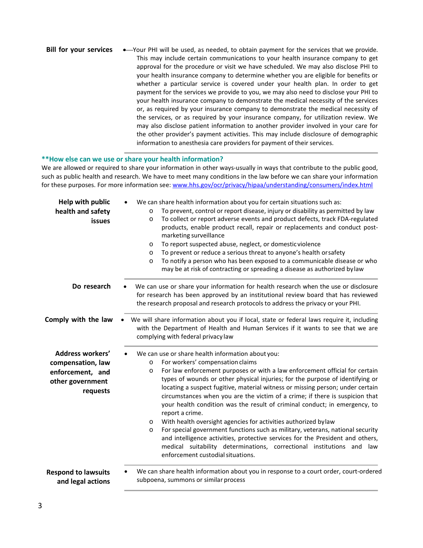| <b>Bill for your services</b> | ◆ Your PHI will be used, as needed, to obtain payment for the services that we provide. |
|-------------------------------|-----------------------------------------------------------------------------------------|
|                               | This may include certain communications to your health insurance company to get         |
|                               | approval for the procedure or visit we have scheduled. We may also disclose PHI to      |
|                               | your health insurance company to determine whether you are eligible for benefits or     |
|                               | whether a particular service is covered under your health plan. In order to get         |
|                               | payment for the services we provide to you, we may also need to disclose your PHI to    |
|                               | your health insurance company to demonstrate the medical necessity of the services      |
|                               | or, as required by your insurance company to demonstrate the medical necessity of       |
|                               | the services, or as required by your insurance company, for utilization review. We      |
|                               | may also disclose patient information to another provider involved in your care for     |
|                               | the other provider's payment activities. This may include disclosure of demographic     |
|                               | information to anesthesia care providers for payment of their services.                 |

#### **\*\*How else can we use or share your health information?**

We are allowed or required to share your information in other ways-usually in ways that contribute to the public good, such as public health and research. We have to meet many conditions in the law before we can share your information for these purposes. For more information see: [www.hhs.gov/ocr/privacy/hipaa/understanding/consumers/index.html](http://www.hhs.gov/ocr/privacy/hipaa/understanding/consumers/index.html)

| Help with public<br>health and safety<br>issues                                                  | We can share health information about you for certain situations such as:<br>To prevent, control or report disease, injury or disability as permitted by law<br>$\circ$<br>To collect or report adverse events and product defects, track FDA-regulated<br>$\circ$<br>products, enable product recall, repair or replacements and conduct post-<br>marketing surveillance<br>To report suspected abuse, neglect, or domestic violence<br>$\circ$<br>To prevent or reduce a serious threat to anyone's health or safety<br>$\circ$<br>To notify a person who has been exposed to a communicable disease or who<br>$\Omega$<br>may be at risk of contracting or spreading a disease as authorized bylaw                                                                                                                                                                                                                    |
|--------------------------------------------------------------------------------------------------|--------------------------------------------------------------------------------------------------------------------------------------------------------------------------------------------------------------------------------------------------------------------------------------------------------------------------------------------------------------------------------------------------------------------------------------------------------------------------------------------------------------------------------------------------------------------------------------------------------------------------------------------------------------------------------------------------------------------------------------------------------------------------------------------------------------------------------------------------------------------------------------------------------------------------|
| Do research                                                                                      | We can use or share your information for health research when the use or disclosure<br>for research has been approved by an institutional review board that has reviewed<br>the research proposal and research protocols to address the privacy or your PHI.                                                                                                                                                                                                                                                                                                                                                                                                                                                                                                                                                                                                                                                             |
| Comply with the law                                                                              | We will share information about you if local, state or federal laws require it, including<br>with the Department of Health and Human Services if it wants to see that we are<br>complying with federal privacy law                                                                                                                                                                                                                                                                                                                                                                                                                                                                                                                                                                                                                                                                                                       |
| <b>Address workers'</b><br>compensation, law<br>enforcement, and<br>other government<br>requests | We can use or share health information about you:<br>For workers' compensation claims<br>$\circ$<br>For law enforcement purposes or with a law enforcement official for certain<br>$\circ$<br>types of wounds or other physical injuries; for the purpose of identifying or<br>locating a suspect fugitive, material witness or missing person; under certain<br>circumstances when you are the victim of a crime; if there is suspicion that<br>your health condition was the result of criminal conduct; in emergency, to<br>report a crime.<br>With health oversight agencies for activities authorized bylaw<br>$\circ$<br>For special government functions such as military, veterans, national security<br>$\circ$<br>and intelligence activities, protective services for the President and others,<br>medical suitability determinations, correctional institutions and law<br>enforcement custodial situations. |
| <b>Respond to lawsuits</b><br>and legal actions                                                  | We can share health information about you in response to a court order, court-ordered<br>subpoena, summons or similar process                                                                                                                                                                                                                                                                                                                                                                                                                                                                                                                                                                                                                                                                                                                                                                                            |